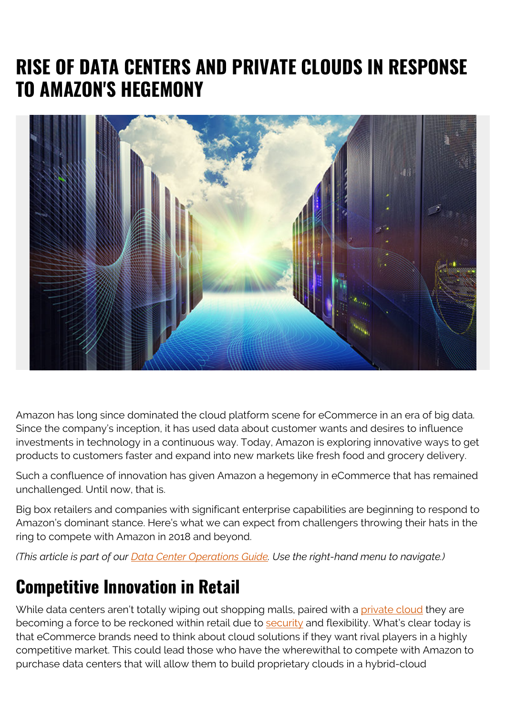# **RISE OF DATA CENTERS AND PRIVATE CLOUDS IN RESPONSE TO AMAZON'S HEGEMONY**



Amazon has long since dominated the cloud platform scene for eCommerce in an era of big data. Since the company's inception, it has used data about customer wants and desires to influence investments in technology in a continuous way. Today, Amazon is exploring innovative ways to get products to customers faster and expand into new markets like fresh food and grocery delivery.

Such a confluence of innovation has given Amazon a hegemony in eCommerce that has remained unchallenged. Until now, that is.

Big box retailers and companies with significant enterprise capabilities are beginning to respond to Amazon's dominant stance. Here's what we can expect from challengers throwing their hats in the ring to compete with Amazon in 2018 and beyond.

*(This article is part of our [Data Center Operations Guide](https://blogs.bmc.com/blogs/data-center-operations/). Use the right-hand menu to navigate.)*

#### **Competitive Innovation in Retail**

While data centers aren't totally wiping out shopping malls, paired with a [private cloud](https://www.gartner.com/it-glossary/private-cloud-computing/) they are becoming a force to be reckoned within retail due to [security](https://blogs.bmc.com/blogs/security-vulnerability-vs-threat-vs-risk-whats-difference/) and flexibility. What's clear today is that eCommerce brands need to think about cloud solutions if they want rival players in a highly competitive market. This could lead those who have the wherewithal to compete with Amazon to purchase data centers that will allow them to build proprietary clouds in a hybrid-cloud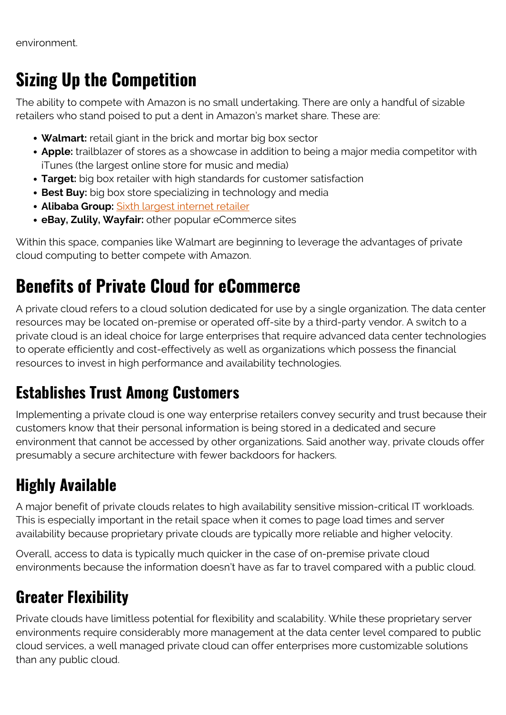environment.

### **Sizing Up the Competition**

The ability to compete with Amazon is no small undertaking. There are only a handful of sizable retailers who stand poised to put a dent in Amazon's market share. These are:

- **Walmart:** retail giant in the brick and mortar big box sector
- **Apple:** trailblazer of stores as a showcase in addition to being a major media competitor with iTunes (the largest online store for music and media)
- **Target:** big box retailer with high standards for customer satisfaction
- **Best Buy:** big box store specializing in technology and media
- **Alibaba Group:** [Sixth largest internet retailer](http://www.alibabagroup.com/)
- **eBay, Zulily, Wayfair:** other popular eCommerce sites

Within this space, companies like Walmart are beginning to leverage the advantages of private cloud computing to better compete with Amazon.

### **Benefits of Private Cloud for eCommerce**

A private cloud refers to a cloud solution dedicated for use by a single organization. The data center resources may be located on-premise or operated off-site by a third-party vendor. A switch to a private cloud is an ideal choice for large enterprises that require advanced data center technologies to operate efficiently and cost-effectively as well as organizations which possess the financial resources to invest in high performance and availability technologies.

#### **Establishes Trust Among Customers**

Implementing a private cloud is one way enterprise retailers convey security and trust because their customers know that their personal information is being stored in a dedicated and secure environment that cannot be accessed by other organizations. Said another way, private clouds offer presumably a secure architecture with fewer backdoors for hackers.

### **Highly Available**

A major benefit of private clouds relates to high availability sensitive mission-critical IT workloads. This is especially important in the retail space when it comes to page load times and server availability because proprietary private clouds are typically more reliable and higher velocity.

Overall, access to data is typically much quicker in the case of on-premise private cloud environments because the information doesn't have as far to travel compared with a public cloud.

### **Greater Flexibility**

Private clouds have limitless potential for flexibility and scalability. While these proprietary server environments require considerably more management at the data center level compared to public cloud services, a well managed private cloud can offer enterprises more customizable solutions than any public cloud.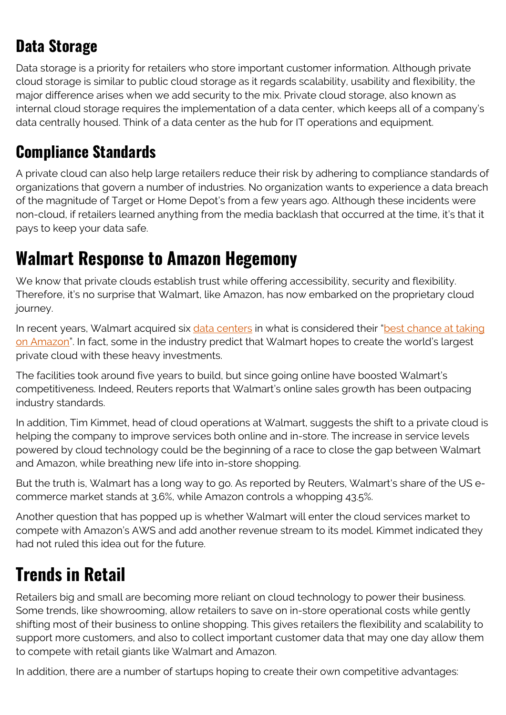#### **Data Storage**

Data storage is a priority for retailers who store important customer information. Although private cloud storage is similar to public cloud storage as it regards scalability, usability and flexibility, the major difference arises when we add security to the mix. Private cloud storage, also known as internal cloud storage requires the implementation of a data center, which keeps all of a company's data centrally housed. Think of a data center as the hub for IT operations and equipment.

#### **Compliance Standards**

A private cloud can also help large retailers reduce their risk by adhering to compliance standards of organizations that govern a number of industries. No organization wants to experience a data breach of the magnitude of Target or Home Depot's from a few years ago. Although these incidents were non-cloud, if retailers learned anything from the media backlash that occurred at the time, it's that it pays to keep your data safe.

#### **Walmart Response to Amazon Hegemony**

We know that private clouds establish trust while offering accessibility, security and flexibility. Therefore, it's no surprise that Walmart, like Amazon, has now embarked on the proprietary cloud journey.

In recent years, Walmart acquired six [data centers](http://www.informit.com/store/art-of-the-data-center-a-look-inside-the-worlds-most-9781587142963) in what is considered their "[best chance at taking](https://www.reuters.com/article/us-walmart-cloud/walmart-goes-to-the-cloud-to-close-gap-with-amazon-idUSKCN1FY0K7) [on Amazon"](https://www.reuters.com/article/us-walmart-cloud/walmart-goes-to-the-cloud-to-close-gap-with-amazon-idUSKCN1FY0K7). In fact, some in the industry predict that Walmart hopes to create the world's largest private cloud with these heavy investments.

The facilities took around five years to build, but since going online have boosted Walmart's competitiveness. Indeed, Reuters reports that Walmart's online sales growth has been outpacing industry standards.

In addition, Tim Kimmet, head of cloud operations at Walmart, suggests the shift to a private cloud is helping the company to improve services both online and in-store. The increase in service levels powered by cloud technology could be the beginning of a race to close the gap between Walmart and Amazon, while breathing new life into in-store shopping.

But the truth is, Walmart has a long way to go. As reported by Reuters, Walmart's share of the US ecommerce market stands at 3.6%, while Amazon controls a whopping 43.5%.

Another question that has popped up is whether Walmart will enter the cloud services market to compete with Amazon's AWS and add another revenue stream to its model. Kimmet indicated they had not ruled this idea out for the future.

### **Trends in Retail**

Retailers big and small are becoming more reliant on cloud technology to power their business. Some trends, like showrooming, allow retailers to save on in-store operational costs while gently shifting most of their business to online shopping. This gives retailers the flexibility and scalability to support more customers, and also to collect important customer data that may one day allow them to compete with retail giants like Walmart and Amazon.

In addition, there are a number of startups hoping to create their own competitive advantages: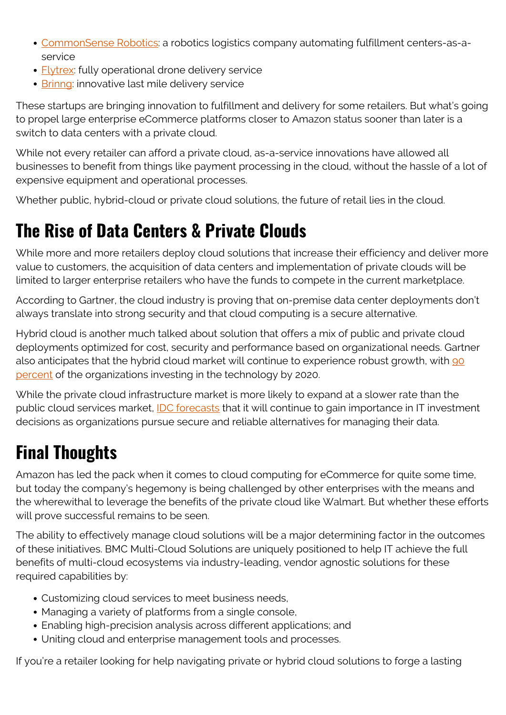- [CommonSense Robotics](https://www.crunchbase.com/organization/commonsense-robotics): a robotics logistics company automating fulfillment centers-as-aservice
- [Flytrex:](https://www.crunchbase.com/organization/flytrex) fully operational drone delivery service
- [Brinng:](https://www.crunchbase.com/organization/bringg) innovative last mile delivery service

These startups are bringing innovation to fulfillment and delivery for some retailers. But what's going to propel large enterprise eCommerce platforms closer to Amazon status sooner than later is a switch to data centers with a private cloud.

While not every retailer can afford a private cloud, as-a-service innovations have allowed all businesses to benefit from things like payment processing in the cloud, without the hassle of a lot of expensive equipment and operational processes.

Whether public, hybrid-cloud or private cloud solutions, the future of retail lies in the cloud.

## **The Rise of Data Centers & Private Clouds**

While more and more retailers deploy cloud solutions that increase their efficiency and deliver more value to customers, the acquisition of data centers and implementation of private clouds will be limited to larger enterprise retailers who have the funds to compete in the current marketplace.

According to Gartner, the cloud industry is proving that on-premise data center deployments don't always translate into strong security and that cloud computing is a secure alternative.

Hybrid cloud is another much talked about solution that offers a mix of public and private cloud deployments optimized for cost, security and performance based on organizational needs. Gartner also anticipates that the hybrid cloud market will continue to experience robust growth, with [90](https://www.gartner.com/newsroom/id/3666917) [percent](https://www.gartner.com/newsroom/id/3666917) of the organizations investing in the technology by 2020.

While the private cloud infrastructure market is more likely to expand at a slower rate than the public cloud services market, **IDC** forecasts that it will continue to gain importance in IT investment decisions as organizations pursue secure and reliable alternatives for managing their data.

# **Final Thoughts**

Amazon has led the pack when it comes to cloud computing for eCommerce for quite some time, but today the company's hegemony is being challenged by other enterprises with the means and the wherewithal to leverage the benefits of the private cloud like Walmart. But whether these efforts will prove successful remains to be seen.

The ability to effectively manage cloud solutions will be a major determining factor in the outcomes of these initiatives. BMC Multi-Cloud Solutions are uniquely positioned to help IT achieve the full benefits of multi-cloud ecosystems via industry-leading, vendor agnostic solutions for these required capabilities by:

- Customizing cloud services to meet business needs,
- Managing a variety of platforms from a single console,
- Enabling high-precision analysis across different applications; and
- Uniting cloud and enterprise management tools and processes.

If you're a retailer looking for help navigating private or hybrid cloud solutions to forge a lasting